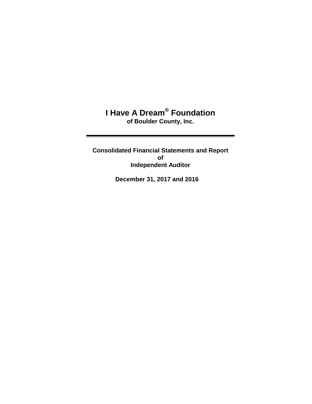## **I Have A Dream® Foundation of Boulder County, Inc.**

**Consolidated Financial Statements and Report of Independent Auditor** 

**December 31, 2017 and 2016**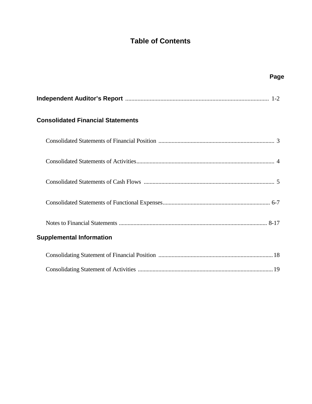# **Table of Contents**

| Page                                     |  |
|------------------------------------------|--|
|                                          |  |
| <b>Consolidated Financial Statements</b> |  |
|                                          |  |
|                                          |  |
|                                          |  |
|                                          |  |
|                                          |  |
| <b>Supplemental Information</b>          |  |
|                                          |  |
|                                          |  |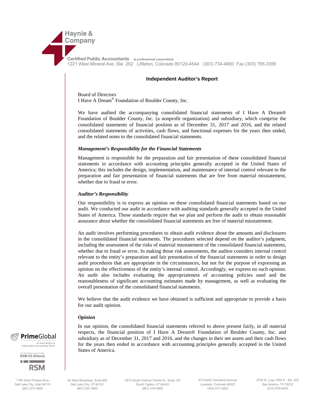

**Certified Public Accountants (a professional corporation)** 1221 West Mineral Ave, Ste. 202 Littleton, Colorado 80120-4544 (303) 734-4800 Fax (303) 795-3356

#### **Independent Auditor's Report**

Board of Directors I Have A Dream® Foundation of Boulder County, Inc.

We have audited the accompanying consolidated financial statements of I Have A Dream® Foundation of Boulder County, Inc. (a nonprofit organization) and subsidiary, which comprise the consolidated statements of financial position as of December 31, 2017 and 2016, and the related consolidated statements of activities, cash flows, and functional expenses for the years then ended, and the related notes to the consolidated financial statements.

#### *Management's Responsibility for the Financial Statements*

Management is responsible for the preparation and fair presentation of these consolidated financial statements in accordance with accounting principles generally accepted in the United States of America; this includes the design, implementation, and maintenance of internal control relevant to the preparation and fair presentation of financial statements that are free from material misstatement, whether due to fraud or error.

#### *Auditor's Responsibility*

Our responsibility is to express an opinion on these consolidated financial statements based on our audit. We conducted our audit in accordance with auditing standards generally accepted in the United States of America. Those standards require that we plan and perform the audit to obtain reasonable assurance about whether the consolidated financial statements are free of material misstatement.

An audit involves performing procedures to obtain audit evidence about the amounts and disclosures in the consolidated financial statements. The procedures selected depend on the auditor's judgment, including the assessment of the risks of material misstatement of the consolidated financial statements, whether due to fraud or error. In making those risk assessments, the auditor considers internal control relevant to the entity's preparation and fair presentation of the financial statements in order to design audit procedures that are appropriate in the circumstances, but not for the purpose of expressing an opinion on the effectiveness of the entity's internal control. Accordingly, we express no such opinion. An audit also includes evaluating the appropriateness of accounting policies used and the reasonableness of significant accounting estimates made by management, as well as evaluating the overall presentation of the consolidated financial statements.

We believe that the audit evidence we have obtained is sufficient and appropriate to provide a basis for our audit opinion.

#### *Opinion*

In our opinion, the consolidated financial statements referred to above present fairly, in all material respects, the financial position of I Have A Dream® Foundation of Boulder County, Inc. and subsidiary as of December 31, 2017 and 2016, and the changes in their net assets and their cash flows for the years then ended in accordance with accounting principles generally accepted in the United States of America.



*An Association of Independent Accounting Firms* 

**RSM US Alliance** 



1785 West Printers Row Salt Lake City, Utah 84119 (801) 972-4800

50 West Broadway, Suite 600 Salt Lake City, UT 84101 (801) 532-7800

5974 South Fashion Pointe Dr., Suite 120 South Ogden, UT 84403 (801) 479-4800

873 North Cleveland Avenue Loveland, Colorado 80537 (303) 577-4800

2702 N. Loop 1604 E., Ste. 202 San Antonio, TX 78232 (210) 979-0055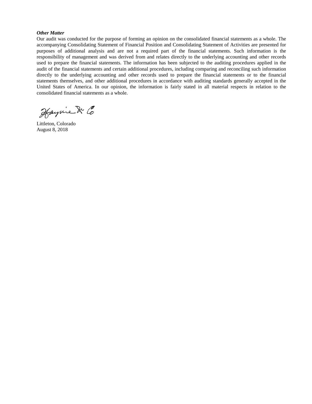#### *Other Matter*

Our audit was conducted for the purpose of forming an opinion on the consolidated financial statements as a whole. The accompanying Consolidating Statement of Financial Position and Consolidating Statement of Activities are presented for purposes of additional analysis and are not a required part of the financial statements. Such information is the responsibility of management and was derived from and relates directly to the underlying accounting and other records used to prepare the financial statements. The information has been subjected to the auditing procedures applied in the audit of the financial statements and certain additional procedures, including comparing and reconciling such information directly to the underlying accounting and other records used to prepare the financial statements or to the financial statements themselves, and other additional procedures in accordance with auditing standards generally accepted in the United States of America. In our opinion, the information is fairly stated in all material respects in relation to the consolidated financial statements as a whole.

Haynie & Co

Littleton, Colorado August 8, 2018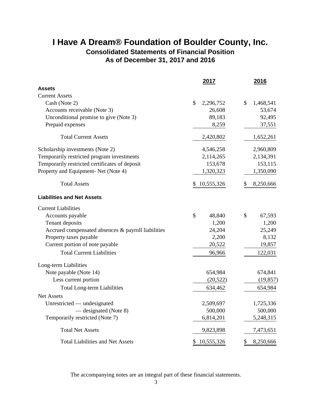# **I Have A Dream® Foundation of Boulder County, Inc.**

**Consolidated Statements of Financial Position As of December 31, 2017 and 2016**

|                                                    | 2017             | 2016            |
|----------------------------------------------------|------------------|-----------------|
| <b>Assets</b>                                      |                  |                 |
| <b>Current Assets</b>                              |                  |                 |
| Cash (Note 2)                                      | \$<br>2,296,752  | \$<br>1,468,541 |
| Accounts receivable (Note 3)                       | 26,608           | 53,674          |
| Unconditional promise to give (Note 3)             | 89,183           | 92,495          |
| Prepaid expenses                                   | 8,259            | 37,551          |
| <b>Total Current Assets</b>                        | 2,420,802        | 1,652,261       |
| Scholarship investments (Note 2)                   | 4,546,258        | 2,960,809       |
| Temporarily restricted program investments         | 2,114,265        | 2,134,391       |
| Temporarily restricted certificates of deposit     | 153,678          | 153,115         |
| Property and Equipment- Net (Note 4)               | 1,320,323        | 1,350,090       |
| <b>Total Assets</b>                                | 10,555,326<br>\$ | 8,250,666<br>S  |
| <b>Liabilities and Net Assets</b>                  |                  |                 |
| <b>Current Liabilities</b>                         |                  |                 |
| Accounts payable                                   | \$<br>48,840     | \$<br>67,593    |
| Tenant deposits                                    | 1,200            | 1,200           |
| Accrued compensated absences & payroll liabilities | 24,204           | 25,249          |
| Property taxes payable                             | 2,200            | 8,132           |
| Current portion of note payable                    | 20,522           | 19,857          |
| <b>Total Current Liabilities</b>                   | 96,966           | 122,031         |
| Long-term Liabilities                              |                  |                 |
| Note payable (Note 14)                             | 654,984          | 674,841         |
| Less current portion                               | (20, 522)        | (19, 857)       |
| <b>Total Long-term Liabilities</b>                 | 634,462          | 654,984         |
| <b>Net Assets</b>                                  |                  |                 |
| Unrestricted — undesignated                        | 2,509,697        | 1,725,336       |
| — designated (Note 8)                              | 500,000          | 500,000         |
| Temporarily restricted (Note 7)                    | 6,814,201        | 5,248,315       |
| <b>Total Net Assets</b>                            | 9,823,898        | 7,473,651       |
| <b>Total Liabilities and Net Assets</b>            | 10,555,326<br>\$ | \$<br>8,250,666 |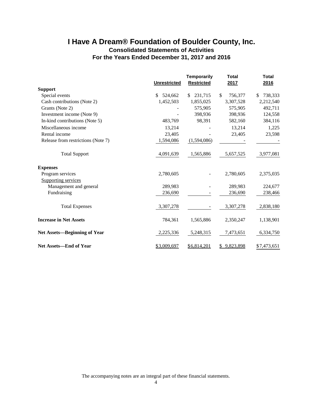### **I Have A Dream® Foundation of Boulder County, Inc. Consolidated Statements of Activities For the Years Ended December 31, 2017 and 2016**

|                                     | <b>Unrestricted</b> | <b>Temporarily</b><br><b>Restricted</b> | <b>Total</b><br>2017 | <b>Total</b><br>2016 |
|-------------------------------------|---------------------|-----------------------------------------|----------------------|----------------------|
| <b>Support</b>                      |                     |                                         |                      |                      |
| Special events                      | \$<br>524,662       | 231,715<br>\$.                          | \$<br>756,377        | 738,333<br>\$        |
| Cash contributions (Note 2)         | 1,452,503           | 1,855,025                               | 3,307,528            | 2,212,540            |
| Grants (Note 2)                     |                     | 575,905                                 | 575,905              | 492,711              |
| Investment income (Note 9)          |                     | 398,936                                 | 398,936              | 124,558              |
| In-kind contributions (Note 5)      | 483,769             | 98,391                                  | 582,160              | 384,116              |
| Miscellaneous income                | 13,214              |                                         | 13,214               | 1,225                |
| Rental income                       | 23,405              |                                         | 23,405               | 23,598               |
| Release from restrictions (Note 7)  | 1,594,086           | (1,594,086)                             |                      |                      |
| <b>Total Support</b>                | 4,091,639           | 1,565,886                               | 5,657,525            | 3,977,081            |
| <b>Expenses</b>                     |                     |                                         |                      |                      |
| Program services                    | 2,780,605           |                                         | 2,780,605            | 2,375,035            |
| Supporting services                 |                     |                                         |                      |                      |
| Management and general              | 289,983             |                                         | 289,983              | 224,677              |
| Fundraising                         | 236,690             |                                         | 236,690              | 238,466              |
| <b>Total Expenses</b>               | 3,307,278           |                                         | 3,307,278            | 2,838,180            |
| <b>Increase in Net Assets</b>       | 784,361             | 1,565,886                               | 2,350,247            | 1,138,901            |
| <b>Net Assets-Beginning of Year</b> | 2,225,336           | 5,248,315                               | 7,473,651            | 6,334,750            |
| <b>Net Assets—End of Year</b>       | \$3,009,697         | \$6,814,201                             | \$9,823,898          | \$7,473,651          |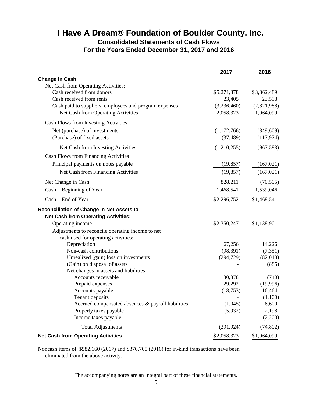### **I Have A Dream® Foundation of Boulder County, Inc. Consolidated Statements of Cash Flows For the Years Ended December 31, 2017 and 2016**

|                                                        | 2017        | 2016        |
|--------------------------------------------------------|-------------|-------------|
| <b>Change in Cash</b>                                  |             |             |
| Net Cash from Operating Activities:                    |             |             |
| Cash received from donors                              | \$5,271,378 | \$3,862,489 |
| Cash received from rents                               | 23,405      | 23,598      |
| Cash paid to suppliers, employees and program expenses | (3,236,460) | (2,821,988) |
| Net Cash from Operating Activities                     | 2,058,323   | 1,064,099   |
| Cash Flows from Investing Activities                   |             |             |
| Net (purchase) of investments                          | (1,172,766) | (849, 609)  |
| (Purchase) of fixed assets                             | (37, 489)   | (117, 974)  |
| Net Cash from Investing Activities                     | (1,210,255) | (967, 583)  |
| Cash Flows from Financing Activities                   |             |             |
| Principal payments on notes payable                    | (19, 857)   | (167, 021)  |
| Net Cash from Financing Activities                     | (19, 857)   | (167, 021)  |
| Net Change in Cash                                     | 828,211     | (70, 505)   |
| Cash-Beginning of Year                                 | 1,468,541   | 1,539,046   |
| Cash-End of Year                                       | \$2,296,752 | \$1,468,541 |
| Reconciliation of Change in Net Assets to              |             |             |
| <b>Net Cash from Operating Activities:</b>             |             |             |
| Operating income                                       | \$2,350,247 | \$1,138,901 |
| Adjustments to reconcile operating income to net       |             |             |
| cash used for operating activities:                    |             |             |
| Depreciation                                           | 67,256      | 14,226      |
| Non-cash contributions                                 | (98, 391)   | (7, 351)    |
| Unrealized (gain) loss on investments                  | (294, 729)  | (82,018)    |
| (Gain) on disposal of assets                           |             | (885)       |
| Net changes in assets and liabilities:                 |             |             |
| Accounts receivable                                    | 30,378      | (740)       |
| Prepaid expenses                                       | 29,292      | (19,996)    |
| Accounts payable                                       | (18, 753)   | 16,464      |
| Tenant deposits                                        |             | (1,100)     |
| Accrued compensated absences & payroll liabilities     | (1,045)     | 6,600       |
| Property taxes payable                                 | (5,932)     | 2,198       |
| Income taxes payable                                   |             | (2,200)     |
| <b>Total Adjustments</b>                               | (291, 924)  | (74, 802)   |
| <b>Net Cash from Operating Activities</b>              | \$2,058,323 | \$1,064,099 |

Noncash items of \$582,160 (2017) and \$376,765 (2016) for in-kind transactions have been eliminated from the above activity.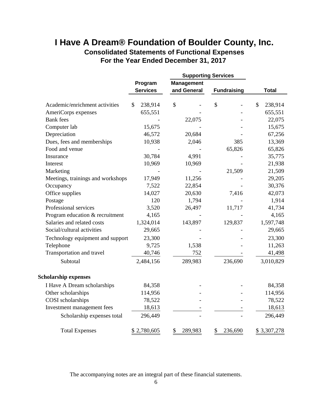### **I Have A Dream® Foundation of Boulder County, Inc. Consolidated Statements of Functional Expenses**

**For the Year Ended December 31, 2017** 

|                                   |              |                 | <b>Supporting Services</b> |                    |               |
|-----------------------------------|--------------|-----------------|----------------------------|--------------------|---------------|
|                                   |              | Program         | <b>Management</b>          |                    |               |
|                                   |              | <b>Services</b> | and General                | <b>Fundraising</b> | <b>Total</b>  |
| Academic/enrichment activities    | $\mathbb{S}$ | 238,914         | \$                         | \$                 | \$<br>238,914 |
| AmeriCorps expenses               |              | 655,551         |                            |                    | 655,551       |
| <b>Bank</b> fees                  |              |                 | 22,075                     |                    | 22,075        |
| Computer lab                      |              | 15,675          |                            |                    | 15,675        |
| Depreciation                      |              | 46,572          | 20,684                     |                    | 67,256        |
| Dues, fees and memberships        |              | 10,938          | 2,046                      | 385                | 13,369        |
| Food and venue                    |              |                 |                            | 65,826             | 65,826        |
| Insurance                         |              | 30,784          | 4,991                      |                    | 35,775        |
| Interest                          |              | 10,969          | 10,969                     |                    | 21,938        |
| Marketing                         |              |                 |                            | 21,509             | 21,509        |
| Meetings, trainings and workshops |              | 17,949          | 11,256                     |                    | 29,205        |
| Occupancy                         |              | 7,522           | 22,854                     |                    | 30,376        |
| Office supplies                   |              | 14,027          | 20,630                     | 7,416              | 42,073        |
| Postage                           |              | 120             | 1,794                      |                    | 1,914         |
| Professional services             |              | 3,520           | 26,497                     | 11,717             | 41,734        |
| Program education & recruitment   |              | 4,165           |                            |                    | 4,165         |
| Salaries and related costs        |              | 1,324,014       | 143,897                    | 129,837            | 1,597,748     |
| Social/cultural activities        |              | 29,665          |                            |                    | 29,665        |
| Technology equipment and support  |              | 23,300          |                            |                    | 23,300        |
| Telephone                         |              | 9,725           | 1,538                      |                    | 11,263        |
| Transportation and travel         |              | 40,746          | 752                        |                    | 41,498        |
| Subtotal                          |              | 2,484,156       | 289,983                    | 236,690            | 3,010,829     |
| <b>Scholarship expenses</b>       |              |                 |                            |                    |               |
| I Have A Dream scholarships       |              | 84,358          |                            |                    | 84,358        |
| Other scholarships                |              | 114,956         |                            |                    | 114,956       |
| COSI scholarships                 |              | 78,522          |                            |                    | 78,522        |
| Investment management fees        |              | 18,613          |                            |                    | 18,613        |
| Scholarship expenses total        |              | 296,449         |                            |                    | 296,449       |
| <b>Total Expenses</b>             |              | \$2,780,605     | \$<br>289,983              | \$<br>236,690      | \$3,307,278   |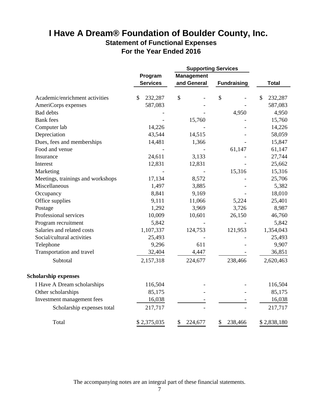### **Statement of Functional Expenses For the Year Ended 2016 I Have A Dream® Foundation of Boulder County, Inc.**

|                                   |                          |                   | <b>Supporting Services</b> |                          |
|-----------------------------------|--------------------------|-------------------|----------------------------|--------------------------|
|                                   | Program                  | <b>Management</b> |                            |                          |
|                                   | <b>Services</b>          | and General       | <b>Fundraising</b>         | <b>Total</b>             |
| Academic/enrichment activities    | $\mathcal{S}$<br>232,287 | \$                | \$                         | $\mathcal{S}$<br>232,287 |
| AmeriCorps expenses               | 587,083                  |                   |                            | 587,083                  |
| <b>Bad debts</b>                  |                          |                   | 4,950                      | 4,950                    |
| <b>Bank</b> fees                  |                          | 15,760            |                            | 15,760                   |
| Computer lab                      | 14,226                   |                   |                            | 14,226                   |
| Depreciation                      | 43,544                   | 14,515            |                            | 58,059                   |
| Dues, fees and memberships        | 14,481                   | 1,366             |                            | 15,847                   |
| Food and venue                    |                          |                   | 61,147                     | 61,147                   |
| Insurance                         | 24,611                   | 3,133             |                            | 27,744                   |
| Interest                          | 12,831                   | 12,831            |                            | 25,662                   |
| Marketing                         |                          |                   | 15,316                     | 15,316                   |
| Meetings, trainings and workshops | 17,134                   | 8,572             |                            | 25,706                   |
| Miscellaneous                     | 1,497                    | 3,885             |                            | 5,382                    |
| Occupancy                         | 8,841                    | 9,169             |                            | 18,010                   |
| Office supplies                   | 9,111                    | 11,066            | 5,224                      | 25,401                   |
| Postage                           | 1,292                    | 3,969             | 3,726                      | 8,987                    |
| Professional services             | 10,009                   | 10,601            | 26,150                     | 46,760                   |
| Program recruitment               | 5,842                    |                   |                            | 5,842                    |
| Salaries and related costs        | 1,107,337                | 124,753           | 121,953                    | 1,354,043                |
| Social/cultural activities        | 25,493                   |                   |                            | 25,493                   |
| Telephone                         | 9,296                    | 611               |                            | 9,907                    |
| Transportation and travel         | 32,404                   | 4,447             |                            | 36,851                   |
| Subtotal                          | 2,157,318                | 224,677           | 238,466                    | 2,620,463                |
| <b>Scholarship expenses</b>       |                          |                   |                            |                          |
| I Have A Dream scholarships       | 116,504                  |                   |                            | 116,504                  |
| Other scholarships                | 85,175                   |                   |                            | 85,175                   |
| Investment management fees        | 16,038                   |                   |                            | 16,038                   |
| Scholarship expenses total        | 217,717                  |                   |                            | 217,717                  |
| Total                             | \$2,375,035              | \$<br>224,677     | \$<br>238,466              | \$2,838,180              |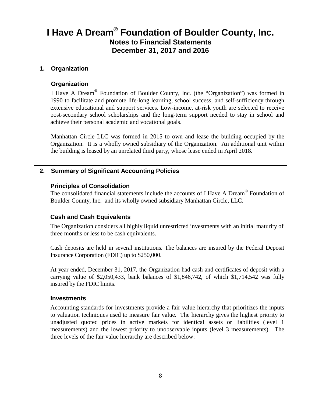#### **1. Organization**

#### **Organization**

I Have A Dream® Foundation of Boulder County, Inc. (the "Organization") was formed in 1990 to facilitate and promote life-long learning, school success, and self-sufficiency through extensive educational and support services. Low-income, at-risk youth are selected to receive post-secondary school scholarships and the long-term support needed to stay in school and achieve their personal academic and vocational goals.

Manhattan Circle LLC was formed in 2015 to own and lease the building occupied by the Organization. It is a wholly owned subsidiary of the Organization. An additional unit within the building is leased by an unrelated third party, whose lease ended in April 2018.

#### **2. Summary of Significant Accounting Policies**

#### **Principles of Consolidation**

The consolidated financial statements include the accounts of I Have A Dream® Foundation of Boulder County, Inc. and its wholly owned subsidiary Manhattan Circle, LLC.

#### **Cash and Cash Equivalents**

The Organization considers all highly liquid unrestricted investments with an initial maturity of three months or less to be cash equivalents.

Cash deposits are held in several institutions. The balances are insured by the Federal Deposit Insurance Corporation (FDIC) up to \$250,000.

At year ended, December 31, 2017, the Organization had cash and certificates of deposit with a carrying value of \$2,050,433, bank balances of \$1,846,742, of which \$1,714,542 was fully insured by the FDIC limits.

#### **Investments**

Accounting standards for investments provide a fair value hierarchy that prioritizes the inputs to valuation techniques used to measure fair value. The hierarchy gives the highest priority to unadjusted quoted prices in active markets for identical assets or liabilities (level 1 measurements) and the lowest priority to unobservable inputs (level 3 measurements). The three levels of the fair value hierarchy are described below: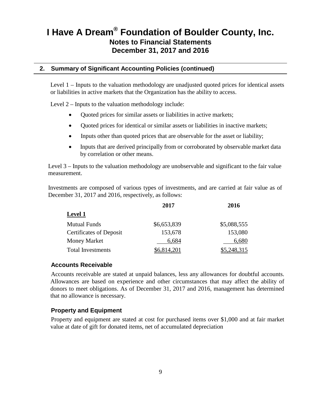### **2. Summary of Significant Accounting Policies (continued)**

Level 1 – Inputs to the valuation methodology are unadjusted quoted prices for identical assets or liabilities in active markets that the Organization has the ability to access.

Level 2 – Inputs to the valuation methodology include:

- Quoted prices for similar assets or liabilities in active markets;
- Quoted prices for identical or similar assets or liabilities in inactive markets;
- Inputs other than quoted prices that are observable for the asset or liability;
- Inputs that are derived principally from or corroborated by observable market data by correlation or other means.

Level 3 – Inputs to the valuation methodology are unobservable and significant to the fair value measurement.

Investments are composed of various types of investments, and are carried at fair value as of December 31, 2017 and 2016, respectively, as follows:

|                                | 2017        | 2016        |
|--------------------------------|-------------|-------------|
| <b>Level 1</b>                 |             |             |
| <b>Mutual Funds</b>            | \$6,653,839 | \$5,088,555 |
| <b>Certificates of Deposit</b> | 153,678     | 153,080     |
| <b>Money Market</b>            | 6,684       | 6,680       |
| <b>Total Investments</b>       | \$6,814,201 | \$5,248,315 |

#### **Accounts Receivable**

Accounts receivable are stated at unpaid balances, less any allowances for doubtful accounts. Allowances are based on experience and other circumstances that may affect the ability of donors to meet obligations. As of December 31, 2017 and 2016, management has determined that no allowance is necessary.

#### **Property and Equipment**

Property and equipment are stated at cost for purchased items over \$1,000 and at fair market value at date of gift for donated items, net of accumulated depreciation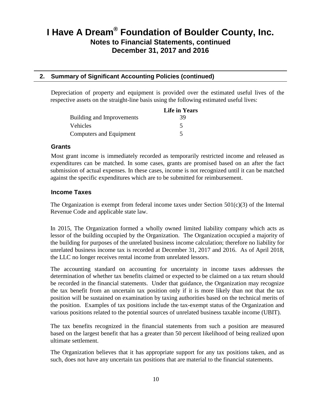### **2. Summary of Significant Accounting Policies (continued)**

Depreciation of property and equipment is provided over the estimated useful lives of the respective assets on the straight-line basis using the following estimated useful lives:

|                           | <b>Life in Years</b> |
|---------------------------|----------------------|
| Building and Improvements | 39                   |
| <b>Vehicles</b>           |                      |
| Computers and Equipment   |                      |

#### **Grants**

Most grant income is immediately recorded as temporarily restricted income and released as expenditures can be matched. In some cases, grants are promised based on an after the fact submission of actual expenses. In these cases, income is not recognized until it can be matched against the specific expenditures which are to be submitted for reimbursement.

#### **Income Taxes**

The Organization is exempt from federal income taxes under Section  $501(c)(3)$  of the Internal Revenue Code and applicable state law.

In 2015, The Organization formed a wholly owned limited liability company which acts as lessor of the building occupied by the Organization. The Organization occupied a majority of the building for purposes of the unrelated business income calculation; therefore no liability for unrelated business income tax is recorded at December 31, 2017 and 2016. As of April 2018, the LLC no longer receives rental income from unrelated lessors.

The accounting standard on accounting for uncertainty in income taxes addresses the determination of whether tax benefits claimed or expected to be claimed on a tax return should be recorded in the financial statements. Under that guidance, the Organization may recognize the tax benefit from an uncertain tax position only if it is more likely than not that the tax position will be sustained on examination by taxing authorities based on the technical merits of the position. Examples of tax positions include the tax-exempt status of the Organization and various positions related to the potential sources of unrelated business taxable income (UBIT).

The tax benefits recognized in the financial statements from such a position are measured based on the largest benefit that has a greater than 50 percent likelihood of being realized upon ultimate settlement.

The Organization believes that it has appropriate support for any tax positions taken, and as such, does not have any uncertain tax positions that are material to the financial statements.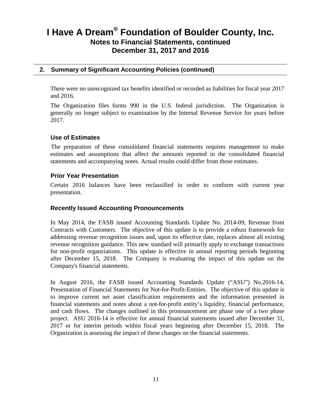### **2. Summary of Significant Accounting Policies (continued)**

There were no unrecognized tax benefits identified or recorded as liabilities for fiscal year 2017 and 2016.

The Organization files forms 990 in the U.S. federal jurisdiction. The Organization is generally no longer subject to examination by the Internal Revenue Service for years before 2017.

#### **Use of Estimates**

The preparation of these consolidated financial statements requires management to make estimates and assumptions that affect the amounts reported in the consolidated financial statements and accompanying notes. Actual results could differ from those estimates.

#### **Prior Year Presentation**

Certain 2016 balances have been reclassified in order to conform with current year presentation.

#### **Recently Issued Accounting Pronouncements**

In May 2014, the FASB issued Accounting Standards Update No. 2014-09, Revenue from Contracts with Customers. The objective of this update is to provide a robust framework for addressing revenue recognition issues and, upon its effective date, replaces almost all existing revenue recognition guidance. This new standard will primarily apply to exchange transactions for non-profit organziations. This update is effective in annual reporting periods beginning after December 15, 2018. The Company is evaluating the impact of this update on the Company's financial statements.

In August 2016, the FASB issued Accounting Standards Update ("ASU") No.2016-14, Presentation of Financial Statements for Not-for-Profit-Entities. The objective of this update is to improve current net asset classification requirements and the information presented in financial statements and notes about a not-for-profit entity's liquidity, financial performance, and cash flows. The changes outlined in this pronouncement are phase one of a two phase project. ASU 2016-14 is effective for annual financial statements issued after December 31, 2017 or for interim periods within fiscal years beginning after December 15, 2018. The Organization is assessing the impact of these changes on the financial statements.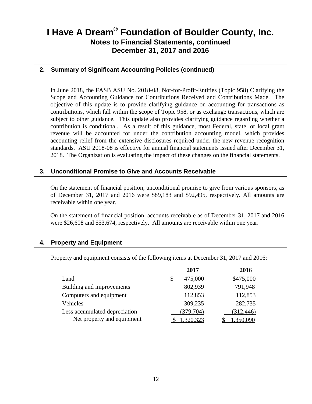### **2. Summary of Significant Accounting Policies (continued)**

In June 2018, the FASB ASU No. 2018-08, Not-for-Profit-Entities (Topic 958) Clarifying the Scope and Accounting Guidance for Contributions Received and Contributions Made. The objective of this update is to provide clarifying guidance on accounting for transactions as contributions, which fall within the scope of Topic 958, or as exchange transactions, which are subject to other guidance. This update also provides clarifying guidance regarding whether a contribution is conditional. As a result of this guidance, most Federal, state, or local grant revenue will be accounted for under the contribution accounting model, which provides accounting relief from the extensive disclosures required under the new revenue recognition standards. ASU 2018-08 is effective for annual financial statements issued after December 31, 2018. The Organization is evaluating the impact of these changes on the financial statements.

#### **3. Unconditional Promise to Give and Accounts Receivable**

On the statement of financial position, unconditional promise to give from various sponsors, as of December 31, 2017 and 2016 were \$89,183 and \$92,495, respectively. All amounts are receivable within one year.

On the statement of financial position, accounts receivable as of December 31, 2017 and 2016 were \$26,608 and \$53,674, respectively. All amounts are receivable within one year.

#### **4. Property and Equipment**

Property and equipment consists of the following items at December 31, 2017 and 2016:

|                               | 2017          | 2016       |
|-------------------------------|---------------|------------|
| Land                          | \$<br>475,000 | \$475,000  |
| Building and improvements     | 802,939       | 791,948    |
| Computers and equipment       | 112,853       | 112,853    |
| Vehicles                      | 309,235       | 282,735    |
| Less accumulated depreciation | (379, 704)    | (312, 446) |
| Net property and equipment    | 1,320,323     |            |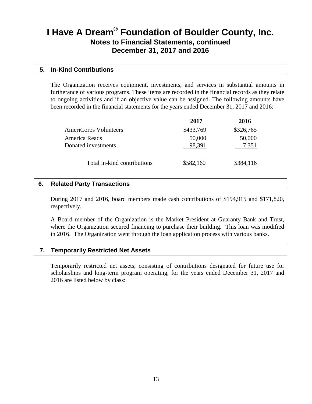#### **5. In-Kind Contributions**

The Organization receives equipment, investments, and services in substantial amounts in furtherance of various programs. These items are recorded in the financial records as they relate to ongoing activities and if an objective value can be assigned. The following amounts have been recorded in the financial statements for the years ended December 31, 2017 and 2016:

|                             | 2017      | 2016      |
|-----------------------------|-----------|-----------|
| AmeriCorps Volunteers       | \$433,769 | \$326,765 |
| America Reads               | 50,000    | 50,000    |
| Donated investments         | 98,391    | 7.351     |
| Total in-kind contributions | \$582,160 |           |

#### **6. Related Party Transactions**

During 2017 and 2016, board members made cash contributions of \$194,915 and \$171,820, respectively.

A Board member of the Organization is the Market President at Guaranty Bank and Trust, where the Organization secured financing to purchase their building. This loan was modified in 2016. The Organization went through the loan application process with various banks.

#### **7. Temporarily Restricted Net Assets**

Temporarily restricted net assets, consisting of contributions designated for future use for scholarships and long-term program operating, for the years ended December 31, 2017 and 2016 are listed below by class: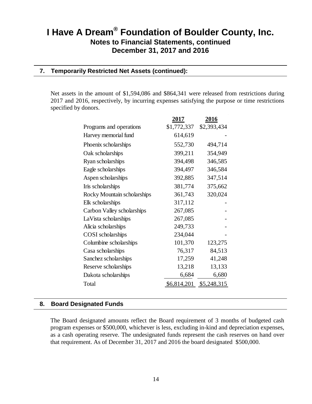### **7. Temporarily Restricted Net Assets (continued):**

Net assets in the amount of \$1,594,086 and \$864,341 were released from restrictions during 2017 and 2016, respectively, by incurring expenses satisfying the purpose or time restrictions specified by donors.

|                             | 2017        | 2016        |
|-----------------------------|-------------|-------------|
| Programs and operations     | \$1,772,337 | \$2,393,434 |
| Harvey memorial fund        | 614,619     |             |
| Phoenix scholarships        | 552,730     | 494,714     |
| Oak scholarships            | 399,211     | 354,949     |
| Ryan scholarships           | 394,498     | 346,585     |
| Eagle scholarships          | 394,497     | 346,584     |
| Aspen scholarships          | 392,885     | 347,514     |
| Iris scholarships           | 381,774     | 375,662     |
| Rocky Mountain scholarships | 361,743     | 320,024     |
| Elk scholarships            | 317,112     |             |
| Carbon Valley scholarships  | 267,085     |             |
| LaVista scholarships        | 267,085     |             |
| Alicia scholarships         | 249,733     |             |
| COSI scholarships           | 234,044     |             |
| Columbine scholarships      | 101,370     | 123,275     |
| Casa scholarships           | 76,317      | 84,513      |
| Sanchez scholarships        | 17,259      | 41,248      |
| Reserve scholarships        | 13,218      | 13,133      |
| Dakota scholarships         | 6,684       | 6,680       |
| Total                       | \$6,814,201 | \$5,248,315 |

#### **8. Board Designated Funds**

The Board designated amounts reflect the Board requirement of 3 months of budgeted cash program expenses or \$500,000, whichever is less, excluding in-kind and depreciation expenses, as a cash operating reserve. The undesignated funds represent the cash reserves on hand over that requirement. As of December 31, 2017 and 2016 the board designated \$500,000.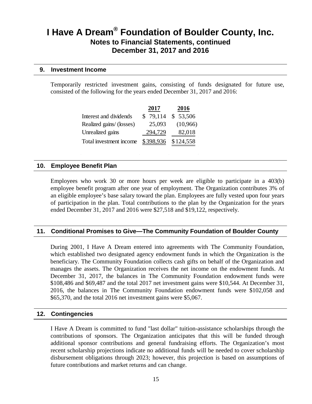#### **9. Investment Income**

Temporarily restricted investment gains, consisting of funds designated for future use, consisted of the following for the years ended December 31, 2017 and 2016:

|                          | 2017      | 2016      |
|--------------------------|-----------|-----------|
| Interest and dividends   | \$79,114  | \$53,506  |
| Realized gains/ (losses) | 25,093    | (10,966)  |
| Unrealized gains         | 294,729   | 82,018    |
| Total investment income  | \$398,936 | \$124,558 |

#### **10. Employee Benefit Plan**

Employees who work 30 or more hours per week are eligible to participate in a 403(b) employee benefit program after one year of employment. The Organization contributes 3% of an eligible employee's base salary toward the plan. Employees are fully vested upon four years of participation in the plan. Total contributions to the plan by the Organization for the years ended December 31, 2017 and 2016 were \$27,518 and \$19,122, respectively.

#### **11. Conditional Promises to Give—The Community Foundation of Boulder County**

During 2001, I Have A Dream entered into agreements with The Community Foundation, which established two designated agency endowment funds in which the Organization is the beneficiary. The Community Foundation collects cash gifts on behalf of the Organization and manages the assets. The Organization receives the net income on the endowment funds. At December 31, 2017, the balances in The Community Foundation endowment funds were \$108,486 and \$69,487 and the total 2017 net investment gains were \$10,544. At December 31, 2016, the balances in The Community Foundation endowment funds were \$102,058 and \$65,370, and the total 2016 net investment gains were \$5,067.

#### **12. Contingencies**

I Have A Dream is committed to fund "last dollar" tuition-assistance scholarships through the contributions of sponsors. The Organization anticipates that this will be funded through additional sponsor contributions and general fundraising efforts. The Organization's most recent scholarship projections indicate no additional funds will be needed to cover scholarship disbursement obligations through 2023; however, this projection is based on assumptions of future contributions and market returns and can change.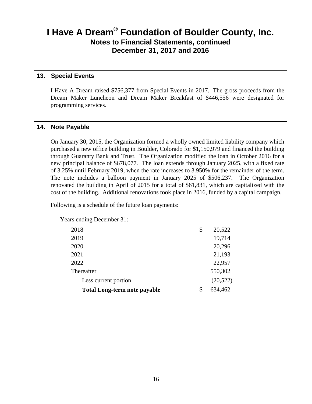#### **13. Special Events**

I Have A Dream raised \$756,377 from Special Events in 2017. The gross proceeds from the Dream Maker Luncheon and Dream Maker Breakfast of \$446,556 were designated for programming services.

#### **14. Note Payable**

On January 30, 2015, the Organization formed a wholly owned limited liability company which purchased a new office building in Boulder, Colorado for \$1,150,979 and financed the building through Guaranty Bank and Trust. The Organization modified the loan in October 2016 for a new principal balance of \$678,077. The loan extends through January 2025, with a fixed rate of 3.25% until February 2019, when the rate increases to 3.950% for the remainder of the term. The note includes a balloon payment in January 2025 of \$506,237. The Organization renovated the building in April of 2015 for a total of \$61,831, which are capitalized with the cost of the building. Additional renovations took place in 2016, funded by a capital campaign.

Following is a schedule of the future loan payments:

Years ending December 31:

|                                     | Thereafter           | 550,302   |
|-------------------------------------|----------------------|-----------|
|                                     |                      |           |
| <b>Total Long-term note payable</b> | Less current portion | (20, 522) |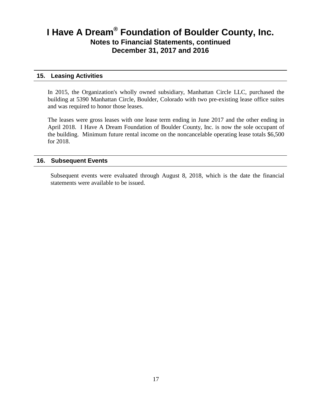#### **15. Leasing Activities**

In 2015, the Organization's wholly owned subsidiary, Manhattan Circle LLC, purchased the building at 5390 Manhattan Circle, Boulder, Colorado with two pre-existing lease office suites and was required to honor those leases.

The leases were gross leases with one lease term ending in June 2017 and the other ending in April 2018. I Have A Dream Foundation of Boulder County, Inc. is now the sole occupant of the building. Minimum future rental income on the noncancelable operating lease totals \$6,500 for 2018.

#### **16. Subsequent Events**

Subsequent events were evaluated through August 8, 2018, which is the date the financial statements were available to be issued.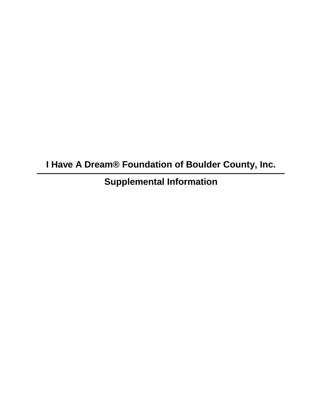**I Have A Dream® Foundation of Boulder County, Inc.**

**Supplemental Information**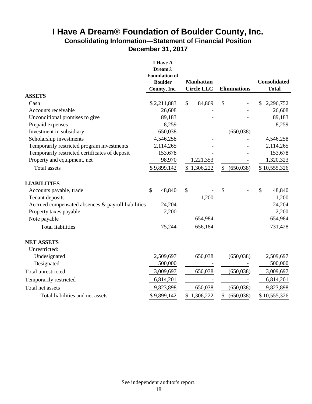### **I Have A Dream® Foundation of Boulder County, Inc. Consolidating Information—Statement of Financial Position December 31, 2017**

|                                                    | <b>I</b> Have A<br><b>Dream®</b><br><b>Foundation of</b><br><b>Boulder</b><br>County, Inc. | <b>Manhattan</b><br><b>Circle LLC</b> | <b>Eliminations</b> | <b>Consolidated</b><br><b>Total</b> |
|----------------------------------------------------|--------------------------------------------------------------------------------------------|---------------------------------------|---------------------|-------------------------------------|
| <b>ASSETS</b>                                      |                                                                                            |                                       |                     |                                     |
| Cash                                               | \$2,211,883                                                                                | \$<br>84,869                          | $\mathcal{S}$       | 2,296,752<br>S                      |
| Accounts receivable                                | 26,608                                                                                     |                                       |                     | 26,608                              |
| Unconditional promises to give                     | 89,183                                                                                     |                                       |                     | 89,183                              |
| Prepaid expenses                                   | 8,259                                                                                      |                                       |                     | 8,259                               |
| Investment in subsidiary                           | 650,038                                                                                    |                                       | (650,038)           |                                     |
| Scholarship investments                            | 4,546,258                                                                                  |                                       |                     | 4,546,258                           |
| Temporarily restricted program investments         | 2,114,265                                                                                  |                                       |                     | 2,114,265                           |
| Temporarily restricted certificates of deposit     | 153,678                                                                                    |                                       |                     | 153,678                             |
| Property and equipment, net                        | 98,970                                                                                     | 1,221,353                             |                     | 1,320,323                           |
| Total assets                                       | \$9,899,142                                                                                | \$1,306,222                           | (650,038)<br>\$     | \$10,555,326                        |
| <b>LIABILITIES</b>                                 |                                                                                            |                                       |                     |                                     |
| Accounts payable, trade                            | \$<br>48,840                                                                               | \$                                    | \$                  | \$<br>48,840                        |
| Tenant deposits                                    |                                                                                            | 1,200                                 |                     | 1,200                               |
| Accrued compensated absences & payroll liabilities | 24,204                                                                                     |                                       |                     | 24,204                              |
| Property taxes payable                             | 2,200                                                                                      |                                       |                     | 2,200                               |
| Note payable                                       |                                                                                            | 654,984                               |                     | 654,984                             |
| <b>Total liabilities</b>                           | 75,244                                                                                     | 656,184                               |                     | 731,428                             |
| <b>NET ASSETS</b>                                  |                                                                                            |                                       |                     |                                     |
| Unrestricted:                                      |                                                                                            |                                       |                     |                                     |
| Undesignated                                       | 2,509,697                                                                                  | 650,038                               | (650,038)           | 2,509,697                           |
| Designated                                         | 500,000                                                                                    |                                       |                     | 500,000                             |
| Total unrestricted                                 | 3,009,697                                                                                  | 650,038                               | (650,038)           | 3,009,697                           |
| Temporarily restricted                             | 6,814,201                                                                                  |                                       |                     | 6,814,201                           |
| Total net assets                                   | 9,823,898                                                                                  | 650,038                               | (650, 038)          | 9,823,898                           |
| Total liabilities and net assets                   | \$9,899,142                                                                                | 1,306,222<br>\$                       | \$<br>(650,038)     | \$10,555,326                        |